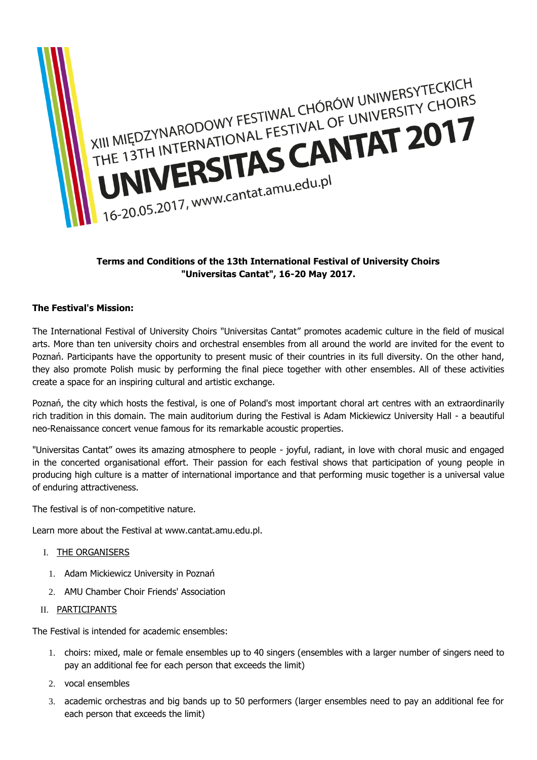

# **Terms and Conditions of the 13th International Festival of University Choirs "Universitas Cantat", 16-20 May 2017.**

## **The Festival's Mission:**

The International Festival of University Choirs "Universitas Cantat" promotes academic culture in the field of musical arts. More than ten university choirs and orchestral ensembles from all around the world are invited for the event to Poznań. Participants have the opportunity to present music of their countries in its full diversity. On the other hand, they also promote Polish music by performing the final piece together with other ensembles. All of these activities create a space for an inspiring cultural and artistic exchange.

Poznań, the city which hosts the festival, is one of Poland's most important choral art centres with an extraordinarily rich tradition in this domain. The main auditorium during the Festival is Adam Mickiewicz University Hall - a beautiful neo-Renaissance concert venue famous for its remarkable acoustic properties.

"Universitas Cantat" owes its amazing atmosphere to people - joyful, radiant, in love with choral music and engaged in the concerted organisational effort. Their passion for each festival shows that participation of young people in producing high culture is a matter of international importance and that performing music together is a universal value of enduring attractiveness.

The festival is of non-competitive nature.

Learn more about the Festival at www.cantat.amu.edu.pl.

#### I. THE ORGANISERS

- 1. Adam Mickiewicz University in Poznań
- 2. AMU Chamber Choir Friends' Association
- II. PARTICIPANTS

The Festival is intended for academic ensembles:

- 1. choirs: mixed, male or female ensembles up to 40 singers (ensembles with a larger number of singers need to pay an additional fee for each person that exceeds the limit)
- 2. vocal ensembles
- 3. academic orchestras and big bands up to 50 performers (larger ensembles need to pay an additional fee for each person that exceeds the limit)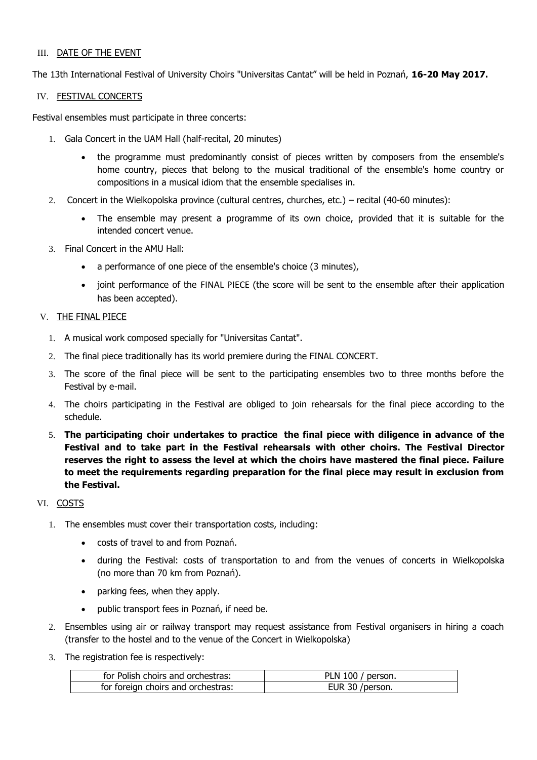#### III. DATE OF THE EVENT

The 13th International Festival of University Choirs "Universitas Cantat" will be held in Poznań, **16-20 May 2017.**

#### IV. FESTIVAL CONCERTS

Festival ensembles must participate in three concerts:

- 1. Gala Concert in the UAM Hall (half-recital, 20 minutes)
	- the programme must predominantly consist of pieces written by composers from the ensemble's home country, pieces that belong to the musical traditional of the ensemble's home country or compositions in a musical idiom that the ensemble specialises in.
- 2. Concert in the Wielkopolska province (cultural centres, churches, etc.) recital (40-60 minutes):
	- The ensemble may present a programme of its own choice, provided that it is suitable for the intended concert venue.
- 3. Final Concert in the AMU Hall:
	- a performance of one piece of the ensemble's choice (3 minutes),
	- joint performance of the FINAL PIECE (the score will be sent to the ensemble after their application has been accepted).

## V. THE FINAL PIECE

- 1. A musical work composed specially for "Universitas Cantat".
- 2. The final piece traditionally has its world premiere during the FINAL CONCERT.
- 3. The score of the final piece will be sent to the participating ensembles two to three months before the Festival by e-mail.
- 4. The choirs participating in the Festival are obliged to join rehearsals for the final piece according to the schedule.
- 5. **The participating choir undertakes to practice the final piece with diligence in advance of the Festival and to take part in the Festival rehearsals with other choirs. The Festival Director reserves the right to assess the level at which the choirs have mastered the final piece. Failure to meet the requirements regarding preparation for the final piece may result in exclusion from the Festival.**

## VI. COSTS

- 1. The ensembles must cover their transportation costs, including:
	- costs of travel to and from Poznań.
	- during the Festival: costs of transportation to and from the venues of concerts in Wielkopolska (no more than 70 km from Poznań).
	- parking fees, when they apply.
	- public transport fees in Poznań, if need be.
- 2. Ensembles using air or railway transport may request assistance from Festival organisers in hiring a coach (transfer to the hostel and to the venue of the Concert in Wielkopolska)
- 3. The registration fee is respectively:

| for Polish choirs and orchestras:  | PLN 100 / person. |
|------------------------------------|-------------------|
| for foreign choirs and orchestras: | EUR 30 /person.   |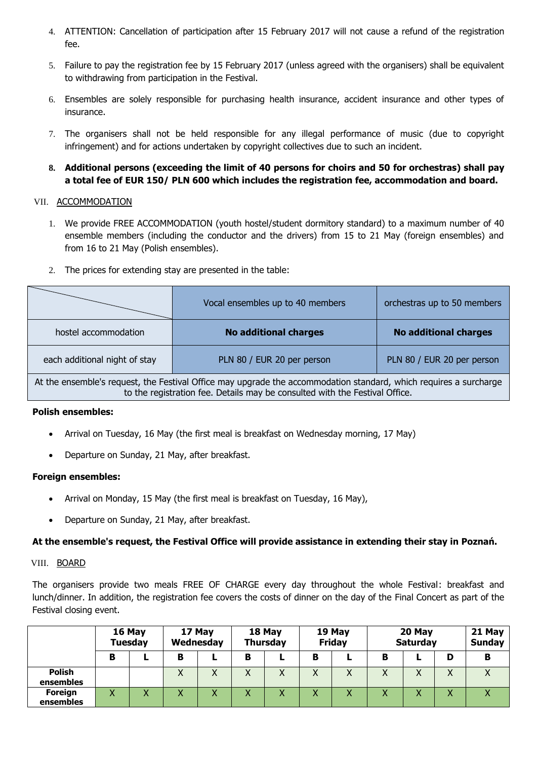- 4. ATTENTION: Cancellation of participation after 15 February 2017 will not cause a refund of the registration fee.
- 5. Failure to pay the registration fee by 15 February 2017 (unless agreed with the organisers) shall be equivalent to withdrawing from participation in the Festival.
- 6. Ensembles are solely responsible for purchasing health insurance, accident insurance and other types of insurance.
- 7. The organisers shall not be held responsible for any illegal performance of music (due to copyright infringement) and for actions undertaken by copyright collectives due to such an incident.
- **8. Additional persons (exceeding the limit of 40 persons for choirs and 50 for orchestras) shall pay a total fee of EUR 150/ PLN 600 which includes the registration fee, accommodation and board.**

## VII. ACCOMMODATION

- 1. We provide FREE ACCOMMODATION (youth hostel/student dormitory standard) to a maximum number of 40 ensemble members (including the conductor and the drivers) from 15 to 21 May (foreign ensembles) and from 16 to 21 May (Polish ensembles).
- 2. The prices for extending stay are presented in the table:

|                                                                                                                                                                                                  | Vocal ensembles up to 40 members | orchestras up to 50 members  |  |  |  |
|--------------------------------------------------------------------------------------------------------------------------------------------------------------------------------------------------|----------------------------------|------------------------------|--|--|--|
| hostel accommodation                                                                                                                                                                             | <b>No additional charges</b>     | <b>No additional charges</b> |  |  |  |
| each additional night of stay                                                                                                                                                                    | PLN 80 / EUR 20 per person       |                              |  |  |  |
| At the ensemble's request, the Festival Office may upgrade the accommodation standard, which requires a surcharge<br>to the registration fee. Details may be consulted with the Festival Office. |                                  |                              |  |  |  |

#### **Polish ensembles:**

- Arrival on Tuesday, 16 May (the first meal is breakfast on Wednesday morning, 17 May)
- Departure on Sunday, 21 May, after breakfast.

#### **Foreign ensembles:**

- Arrival on Monday, 15 May (the first meal is breakfast on Tuesday, 16 May),
- Departure on Sunday, 21 May, after breakfast.

## **At the ensemble's request, the Festival Office will provide assistance in extending their stay in Poznań.**

#### VIII. BOARD

The organisers provide two meals FREE OF CHARGE every day throughout the whole Festival: breakfast and lunch/dinner. In addition, the registration fee covers the costs of dinner on the day of the Final Concert as part of the Festival closing event.

|                            | 16 May       | <b>Tuesday</b>   | 17 May<br>Wednesday |              |   | 18 May<br><b>Thursday</b> |                           | 19 May<br><b>Friday</b> |              | 20 May<br><b>Saturday</b> |                   | 21 May<br><b>Sunday</b> |
|----------------------------|--------------|------------------|---------------------|--------------|---|---------------------------|---------------------------|-------------------------|--------------|---------------------------|-------------------|-------------------------|
|                            | в            |                  | в                   |              | в |                           | в                         |                         | в            |                           | D                 | в                       |
| <b>Polish</b><br>ensembles |              |                  | $\lambda$           | $\checkmark$ | Χ |                           | $\checkmark$<br>$\lambda$ | X                       | Χ            | $\check{ }$<br>∧          | $\checkmark$<br>∧ |                         |
| Foreign<br>ensembles       | $\checkmark$ | $\mathbf v$<br>⋏ |                     | $\mathbf v$  | v |                           | v<br>↗                    | v                       | $\checkmark$ | v                         | Λ                 |                         |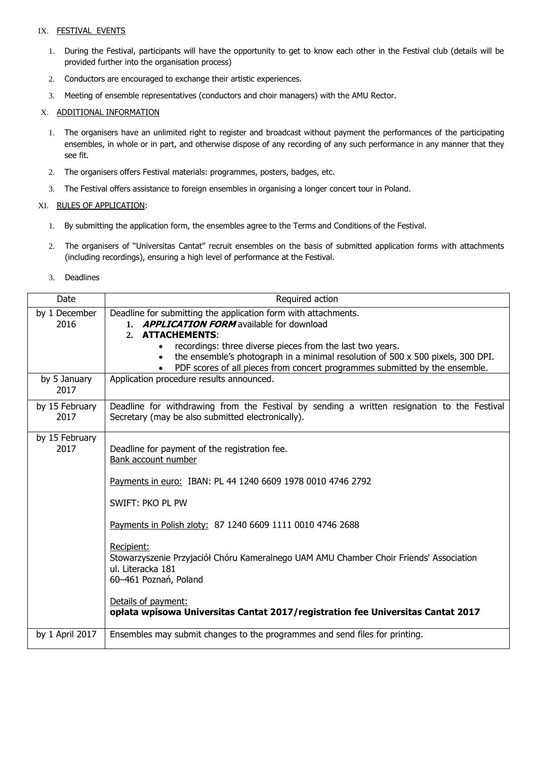#### IX. FESTIVAL EVENTS

- 1. During the Festival, participants will have the opportunity to get to know each other in the Festival club (details will be provided further into the organisation process)
- 2. Conductors are encouraged to exchange their artistic experiences.
- 3. Meeting of ensemble representatives (conductors and choir managers) with the AMU Rector.

#### X. ADDITIONAL INFORMATION

- 1. The organisers have an unlimited right to register and broadcast without payment the performances of the participating ensembles, in whole or in part, and otherwise dispose of any recording of any such performance in any manner that they see fit.
- 2. The organisers offers Festival materials: programmes, posters, badges, etc.
- 3. The Festival offers assistance to foreign ensembles in organising a longer concert tour in Poland.

#### XI. RULES OF APPLICATION:

- 1. By submitting the application form, the ensembles agree to the Terms and Conditions of the Festival.
- 2. The organisers of "Universitas Cantat" recruit ensembles on the basis of submitted application forms with attachments (including recordings), ensuring a high level of performance at the Festival.
- 3. Deadlines

| Date                   | Required action                                                                                                                                                                                                                                                                                                                                                                                                                                                                       |
|------------------------|---------------------------------------------------------------------------------------------------------------------------------------------------------------------------------------------------------------------------------------------------------------------------------------------------------------------------------------------------------------------------------------------------------------------------------------------------------------------------------------|
| by 1 December<br>2016  | Deadline for submitting the application form with attachments.<br>1. <b>APPLICATION FORM</b> available for download<br><b>ATTACHEMENTS:</b><br>2.<br>recordings: three diverse pieces from the last two years.<br>the ensemble's photograph in a minimal resolution of 500 x 500 pixels, 300 DPI.<br>PDF scores of all pieces from concert programmes submitted by the ensemble.                                                                                                      |
| by 5 January<br>2017   | Application procedure results announced.                                                                                                                                                                                                                                                                                                                                                                                                                                              |
| by 15 February<br>2017 | Deadline for withdrawing from the Festival by sending a written resignation to the Festival<br>Secretary (may be also submitted electronically).                                                                                                                                                                                                                                                                                                                                      |
| by 15 February<br>2017 | Deadline for payment of the registration fee.<br>Bank account number<br>Payments in euro: IBAN: PL 44 1240 6609 1978 0010 4746 2792<br>SWIFT: PKO PL PW<br>Payments in Polish zloty: 87 1240 6609 1111 0010 4746 2688<br>Recipient:<br>Stowarzyszenie Przyjaciół Chóru Kameralnego UAM AMU Chamber Choir Friends' Association<br>ul. Literacka 181<br>60-461 Poznań, Poland<br>Details of payment:<br>opłata wpisowa Universitas Cantat 2017/registration fee Universitas Cantat 2017 |
| by 1 April 2017        | Ensembles may submit changes to the programmes and send files for printing.                                                                                                                                                                                                                                                                                                                                                                                                           |